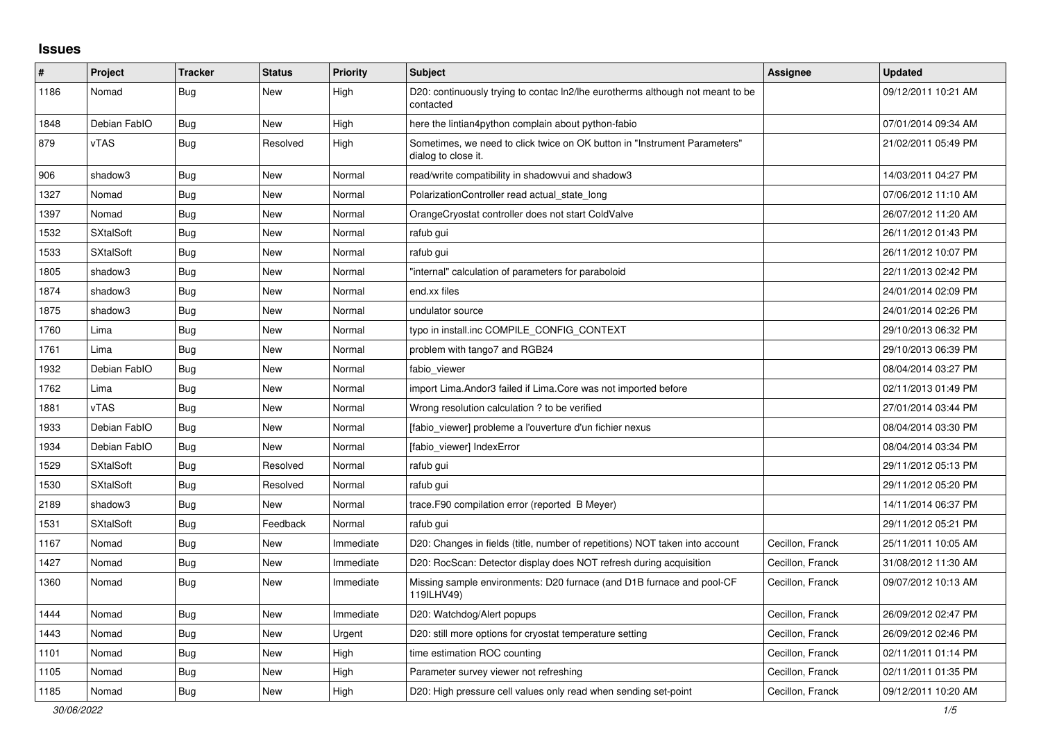## **Issues**

| #    | Project          | <b>Tracker</b> | <b>Status</b> | Priority  | <b>Subject</b>                                                                                   | <b>Assignee</b>  | <b>Updated</b>      |
|------|------------------|----------------|---------------|-----------|--------------------------------------------------------------------------------------------------|------------------|---------------------|
| 1186 | Nomad            | <b>Bug</b>     | New           | High      | D20: continuously trying to contac ln2/lhe eurotherms although not meant to be<br>contacted      |                  | 09/12/2011 10:21 AM |
| 1848 | Debian FablO     | <b>Bug</b>     | New           | High      | here the lintian4python complain about python-fabio                                              |                  | 07/01/2014 09:34 AM |
| 879  | vTAS             | Bug            | Resolved      | High      | Sometimes, we need to click twice on OK button in "Instrument Parameters"<br>dialog to close it. |                  | 21/02/2011 05:49 PM |
| 906  | shadow3          | <b>Bug</b>     | New           | Normal    | read/write compatibility in shadowvui and shadow3                                                |                  | 14/03/2011 04:27 PM |
| 1327 | Nomad            | <b>Bug</b>     | New           | Normal    | PolarizationController read actual state long                                                    |                  | 07/06/2012 11:10 AM |
| 1397 | Nomad            | Bug            | <b>New</b>    | Normal    | OrangeCryostat controller does not start ColdValve                                               |                  | 26/07/2012 11:20 AM |
| 1532 | <b>SXtalSoft</b> | <b>Bug</b>     | New           | Normal    | rafub gui                                                                                        |                  | 26/11/2012 01:43 PM |
| 1533 | <b>SXtalSoft</b> | Bug            | <b>New</b>    | Normal    | rafub gui                                                                                        |                  | 26/11/2012 10:07 PM |
| 1805 | shadow3          | <b>Bug</b>     | New           | Normal    | "internal" calculation of parameters for paraboloid                                              |                  | 22/11/2013 02:42 PM |
| 1874 | shadow3          | Bug            | New           | Normal    | end.xx files                                                                                     |                  | 24/01/2014 02:09 PM |
| 1875 | shadow3          | <b>Bug</b>     | New           | Normal    | undulator source                                                                                 |                  | 24/01/2014 02:26 PM |
| 1760 | Lima             | <b>Bug</b>     | New           | Normal    | typo in install.inc COMPILE_CONFIG_CONTEXT                                                       |                  | 29/10/2013 06:32 PM |
| 1761 | Lima             | Bug            | New           | Normal    | problem with tango7 and RGB24                                                                    |                  | 29/10/2013 06:39 PM |
| 1932 | Debian FablO     | Bug            | New           | Normal    | fabio viewer                                                                                     |                  | 08/04/2014 03:27 PM |
| 1762 | Lima             | <b>Bug</b>     | <b>New</b>    | Normal    | import Lima. Andor3 failed if Lima. Core was not imported before                                 |                  | 02/11/2013 01:49 PM |
| 1881 | vTAS             | <b>Bug</b>     | New           | Normal    | Wrong resolution calculation ? to be verified                                                    |                  | 27/01/2014 03:44 PM |
| 1933 | Debian FablO     | <b>Bug</b>     | <b>New</b>    | Normal    | [fabio_viewer] probleme a l'ouverture d'un fichier nexus                                         |                  | 08/04/2014 03:30 PM |
| 1934 | Debian FablO     | Bug            | New           | Normal    | [fabio_viewer] IndexError                                                                        |                  | 08/04/2014 03:34 PM |
| 1529 | <b>SXtalSoft</b> | Bug            | Resolved      | Normal    | rafub gui                                                                                        |                  | 29/11/2012 05:13 PM |
| 1530 | <b>SXtalSoft</b> | Bug            | Resolved      | Normal    | rafub qui                                                                                        |                  | 29/11/2012 05:20 PM |
| 2189 | shadow3          | Bug            | New           | Normal    | trace.F90 compilation error (reported B Meyer)                                                   |                  | 14/11/2014 06:37 PM |
| 1531 | <b>SXtalSoft</b> | <b>Bug</b>     | Feedback      | Normal    | rafub gui                                                                                        |                  | 29/11/2012 05:21 PM |
| 1167 | Nomad            | Bug            | New           | Immediate | D20: Changes in fields (title, number of repetitions) NOT taken into account                     | Cecillon, Franck | 25/11/2011 10:05 AM |
| 1427 | Nomad            | Bug            | <b>New</b>    | Immediate | D20: RocScan: Detector display does NOT refresh during acquisition                               | Cecillon, Franck | 31/08/2012 11:30 AM |
| 1360 | Nomad            | <b>Bug</b>     | New           | Immediate | Missing sample environments: D20 furnace (and D1B furnace and pool-CF<br>119ILHV49)              | Cecillon, Franck | 09/07/2012 10:13 AM |
| 1444 | Nomad            | Bug            | <b>New</b>    | Immediate | D20: Watchdog/Alert popups                                                                       | Cecillon, Franck | 26/09/2012 02:47 PM |
| 1443 | Nomad            | <b>Bug</b>     | New           | Urgent    | D20: still more options for cryostat temperature setting                                         | Cecillon, Franck | 26/09/2012 02:46 PM |
| 1101 | Nomad            | <b>Bug</b>     | New           | High      | time estimation ROC counting                                                                     | Cecillon, Franck | 02/11/2011 01:14 PM |
| 1105 | Nomad            | <b>Bug</b>     | New           | High      | Parameter survey viewer not refreshing                                                           | Cecillon, Franck | 02/11/2011 01:35 PM |
| 1185 | Nomad            | Bug            | New           | High      | D20: High pressure cell values only read when sending set-point                                  | Cecillon, Franck | 09/12/2011 10:20 AM |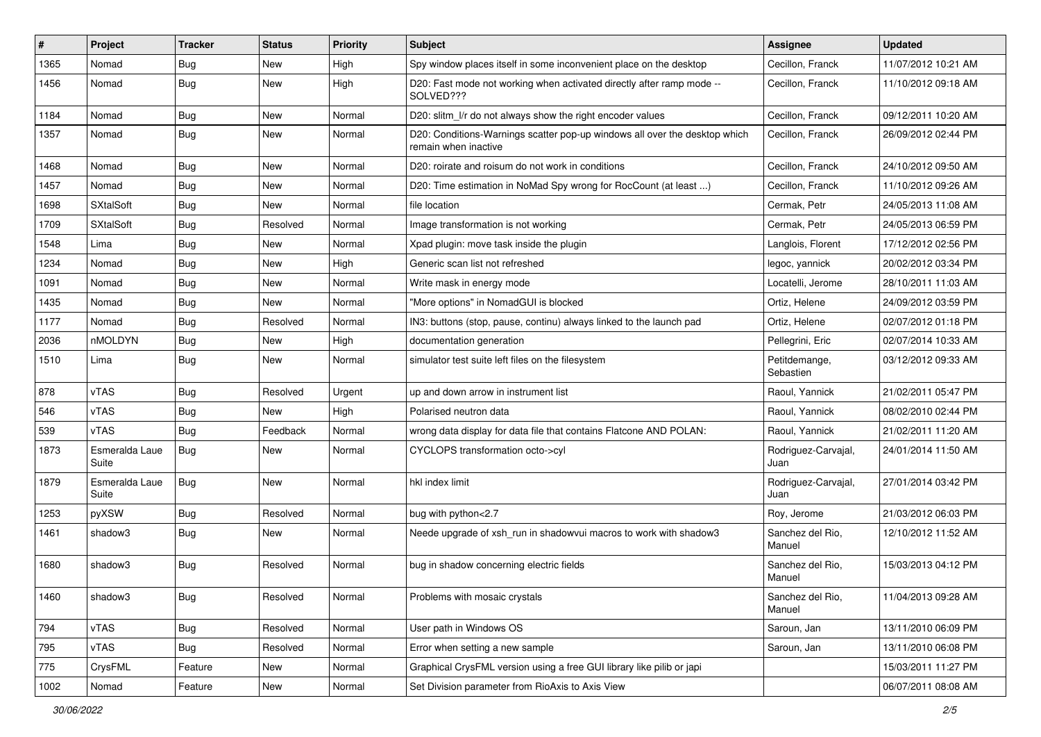| #    | Project                 | <b>Tracker</b> | <b>Status</b> | <b>Priority</b> | <b>Subject</b>                                                                                     | Assignee                    | <b>Updated</b>      |
|------|-------------------------|----------------|---------------|-----------------|----------------------------------------------------------------------------------------------------|-----------------------------|---------------------|
| 1365 | Nomad                   | <b>Bug</b>     | New           | High            | Spy window places itself in some inconvenient place on the desktop                                 | Cecillon, Franck            | 11/07/2012 10:21 AM |
| 1456 | Nomad                   | Bug            | New           | High            | D20: Fast mode not working when activated directly after ramp mode --<br>SOLVED???                 | Cecillon, Franck            | 11/10/2012 09:18 AM |
| 1184 | Nomad                   | <b>Bug</b>     | New           | Normal          | D20: slitm_l/r do not always show the right encoder values                                         | Cecillon, Franck            | 09/12/2011 10:20 AM |
| 1357 | Nomad                   | Bug            | New           | Normal          | D20: Conditions-Warnings scatter pop-up windows all over the desktop which<br>remain when inactive | Cecillon, Franck            | 26/09/2012 02:44 PM |
| 1468 | Nomad                   | <b>Bug</b>     | New           | Normal          | D20: roirate and roisum do not work in conditions                                                  | Cecillon, Franck            | 24/10/2012 09:50 AM |
| 1457 | Nomad                   | <b>Bug</b>     | New           | Normal          | D20: Time estimation in NoMad Spy wrong for RocCount (at least )                                   | Cecillon, Franck            | 11/10/2012 09:26 AM |
| 1698 | <b>SXtalSoft</b>        | <b>Bug</b>     | New           | Normal          | file location                                                                                      | Cermak, Petr                | 24/05/2013 11:08 AM |
| 1709 | <b>SXtalSoft</b>        | Bug            | Resolved      | Normal          | Image transformation is not working                                                                | Cermak, Petr                | 24/05/2013 06:59 PM |
| 1548 | Lima                    | Bug            | New           | Normal          | Xpad plugin: move task inside the plugin                                                           | Langlois, Florent           | 17/12/2012 02:56 PM |
| 1234 | Nomad                   | Bug            | New           | High            | Generic scan list not refreshed                                                                    | legoc, yannick              | 20/02/2012 03:34 PM |
| 1091 | Nomad                   | <b>Bug</b>     | New           | Normal          | Write mask in energy mode                                                                          | Locatelli, Jerome           | 28/10/2011 11:03 AM |
| 1435 | Nomad                   | Bug            | New           | Normal          | "More options" in NomadGUI is blocked                                                              | Ortiz, Helene               | 24/09/2012 03:59 PM |
| 1177 | Nomad                   | Bug            | Resolved      | Normal          | IN3: buttons (stop, pause, continu) always linked to the launch pad                                | Ortiz, Helene               | 02/07/2012 01:18 PM |
| 2036 | nMOLDYN                 | <b>Bug</b>     | New           | High            | documentation generation                                                                           | Pellegrini, Eric            | 02/07/2014 10:33 AM |
| 1510 | Lima                    | <b>Bug</b>     | New           | Normal          | simulator test suite left files on the filesystem                                                  | Petitdemange,<br>Sebastien  | 03/12/2012 09:33 AM |
| 878  | vTAS                    | Bug            | Resolved      | Urgent          | up and down arrow in instrument list                                                               | Raoul, Yannick              | 21/02/2011 05:47 PM |
| 546  | vTAS                    | <b>Bug</b>     | New           | High            | Polarised neutron data                                                                             | Raoul, Yannick              | 08/02/2010 02:44 PM |
| 539  | vTAS                    | Bug            | Feedback      | Normal          | wrong data display for data file that contains Flatcone AND POLAN:                                 | Raoul, Yannick              | 21/02/2011 11:20 AM |
| 1873 | Esmeralda Laue<br>Suite | <b>Bug</b>     | New           | Normal          | CYCLOPS transformation octo->cyl                                                                   | Rodriguez-Carvajal,<br>Juan | 24/01/2014 11:50 AM |
| 1879 | Esmeralda Laue<br>Suite | Bug            | New           | Normal          | hkl index limit                                                                                    | Rodriguez-Carvajal,<br>Juan | 27/01/2014 03:42 PM |
| 1253 | pyXSW                   | Bug            | Resolved      | Normal          | bug with python<2.7                                                                                | Roy, Jerome                 | 21/03/2012 06:03 PM |
| 1461 | shadow3                 | Bug            | New           | Normal          | Neede upgrade of xsh_run in shadowvui macros to work with shadow3                                  | Sanchez del Rio,<br>Manuel  | 12/10/2012 11:52 AM |
| 1680 | shadow3                 | Bug            | Resolved      | Normal          | bug in shadow concerning electric fields                                                           | Sanchez del Rio,<br>Manuel  | 15/03/2013 04:12 PM |
| 1460 | shadow3                 | Bug            | Resolved      | Normal          | Problems with mosaic crystals                                                                      | Sanchez del Rio,<br>Manuel  | 11/04/2013 09:28 AM |
| 794  | vTAS                    | <b>Bug</b>     | Resolved      | Normal          | User path in Windows OS                                                                            | Saroun, Jan                 | 13/11/2010 06:09 PM |
| 795  | vTAS                    | <b>Bug</b>     | Resolved      | Normal          | Error when setting a new sample                                                                    | Saroun, Jan                 | 13/11/2010 06:08 PM |
| 775  | CrysFML                 | Feature        | New           | Normal          | Graphical CrysFML version using a free GUI library like pilib or japi                              |                             | 15/03/2011 11:27 PM |
| 1002 | Nomad                   | Feature        | New           | Normal          | Set Division parameter from RioAxis to Axis View                                                   |                             | 06/07/2011 08:08 AM |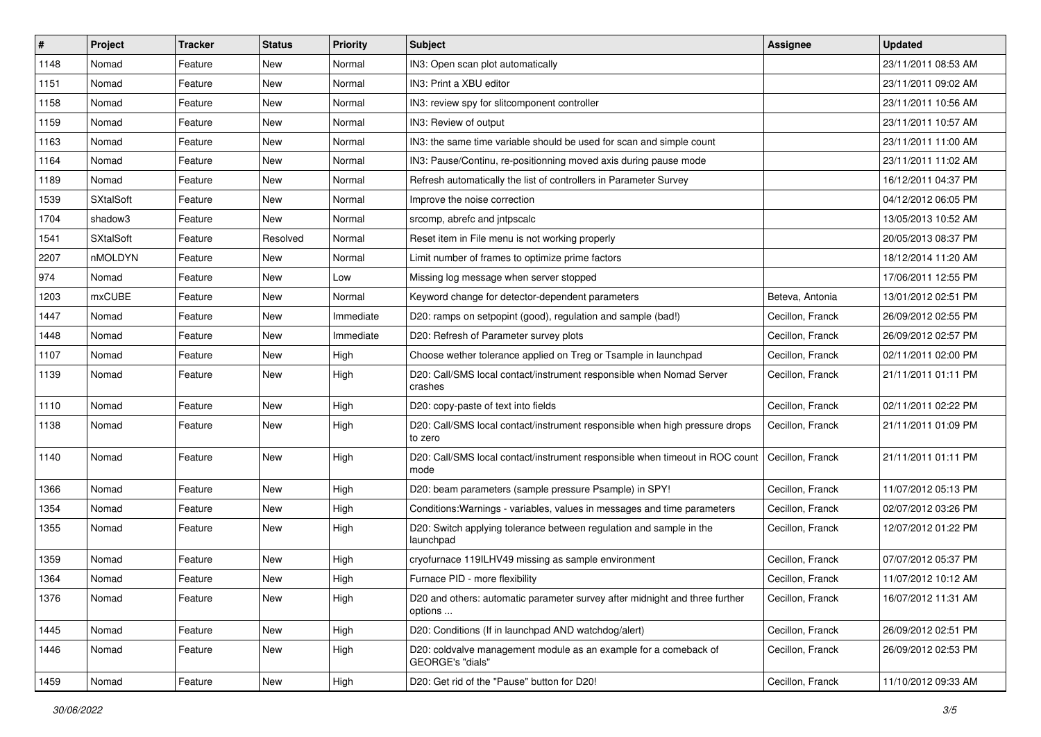| #    | Project          | <b>Tracker</b> | <b>Status</b> | <b>Priority</b> | Subject                                                                                | Assignee         | <b>Updated</b>      |
|------|------------------|----------------|---------------|-----------------|----------------------------------------------------------------------------------------|------------------|---------------------|
| 1148 | Nomad            | Feature        | New           | Normal          | IN3: Open scan plot automatically                                                      |                  | 23/11/2011 08:53 AM |
| 1151 | Nomad            | Feature        | New           | Normal          | IN3: Print a XBU editor                                                                |                  | 23/11/2011 09:02 AM |
| 1158 | Nomad            | Feature        | New           | Normal          | IN3: review spy for slitcomponent controller                                           |                  | 23/11/2011 10:56 AM |
| 1159 | Nomad            | Feature        | New           | Normal          | IN3: Review of output                                                                  |                  | 23/11/2011 10:57 AM |
| 1163 | Nomad            | Feature        | New           | Normal          | IN3: the same time variable should be used for scan and simple count                   |                  | 23/11/2011 11:00 AM |
| 1164 | Nomad            | Feature        | New           | Normal          | IN3: Pause/Continu, re-positionning moved axis during pause mode                       |                  | 23/11/2011 11:02 AM |
| 1189 | Nomad            | Feature        | New           | Normal          | Refresh automatically the list of controllers in Parameter Survey                      |                  | 16/12/2011 04:37 PM |
| 1539 | <b>SXtalSoft</b> | Feature        | New           | Normal          | Improve the noise correction                                                           |                  | 04/12/2012 06:05 PM |
| 1704 | shadow3          | Feature        | New           | Normal          | srcomp, abrefc and intpscalc                                                           |                  | 13/05/2013 10:52 AM |
| 1541 | <b>SXtalSoft</b> | Feature        | Resolved      | Normal          | Reset item in File menu is not working properly                                        |                  | 20/05/2013 08:37 PM |
| 2207 | nMOLDYN          | Feature        | New           | Normal          | Limit number of frames to optimize prime factors                                       |                  | 18/12/2014 11:20 AM |
| 974  | Nomad            | Feature        | <b>New</b>    | Low             | Missing log message when server stopped                                                |                  | 17/06/2011 12:55 PM |
| 1203 | mxCUBE           | Feature        | New           | Normal          | Keyword change for detector-dependent parameters                                       | Beteva, Antonia  | 13/01/2012 02:51 PM |
| 1447 | Nomad            | Feature        | New           | Immediate       | D20: ramps on setpopint (good), regulation and sample (bad!)                           | Cecillon, Franck | 26/09/2012 02:55 PM |
| 1448 | Nomad            | Feature        | New           | Immediate       | D20: Refresh of Parameter survey plots                                                 | Cecillon, Franck | 26/09/2012 02:57 PM |
| 1107 | Nomad            | Feature        | New           | High            | Choose wether tolerance applied on Treg or Tsample in launchpad                        | Cecillon, Franck | 02/11/2011 02:00 PM |
| 1139 | Nomad            | Feature        | New           | High            | D20: Call/SMS local contact/instrument responsible when Nomad Server<br>crashes        | Cecillon, Franck | 21/11/2011 01:11 PM |
| 1110 | Nomad            | Feature        | New           | High            | D20: copy-paste of text into fields                                                    | Cecillon, Franck | 02/11/2011 02:22 PM |
| 1138 | Nomad            | Feature        | New           | High            | D20: Call/SMS local contact/instrument responsible when high pressure drops<br>to zero | Cecillon, Franck | 21/11/2011 01:09 PM |
| 1140 | Nomad            | Feature        | New           | High            | D20: Call/SMS local contact/instrument responsible when timeout in ROC count<br>mode   | Cecillon, Franck | 21/11/2011 01:11 PM |
| 1366 | Nomad            | Feature        | New           | High            | D20: beam parameters (sample pressure Psample) in SPY!                                 | Cecillon, Franck | 11/07/2012 05:13 PM |
| 1354 | Nomad            | Feature        | New           | High            | Conditions: Warnings - variables, values in messages and time parameters               | Cecillon, Franck | 02/07/2012 03:26 PM |
| 1355 | Nomad            | Feature        | New           | High            | D20: Switch applying tolerance between regulation and sample in the<br>launchpad       | Cecillon, Franck | 12/07/2012 01:22 PM |
| 1359 | Nomad            | Feature        | <b>New</b>    | High            | cryofurnace 119ILHV49 missing as sample environment                                    | Cecillon, Franck | 07/07/2012 05:37 PM |
| 1364 | Nomad            | Feature        | New           | High            | Furnace PID - more flexibility                                                         | Cecillon, Franck | 11/07/2012 10:12 AM |
| 1376 | Nomad            | Feature        | New           | High            | D20 and others: automatic parameter survey after midnight and three further<br>options | Cecillon, Franck | 16/07/2012 11:31 AM |
| 1445 | Nomad            | Feature        | New           | High            | D20: Conditions (If in launchpad AND watchdog/alert)                                   | Cecillon, Franck | 26/09/2012 02:51 PM |
| 1446 | Nomad            | Feature        | New           | High            | D20: coldvalve management module as an example for a comeback of<br>GEORGE's "dials"   | Cecillon, Franck | 26/09/2012 02:53 PM |
| 1459 | Nomad            | Feature        | New           | High            | D20: Get rid of the "Pause" button for D20!                                            | Cecillon, Franck | 11/10/2012 09:33 AM |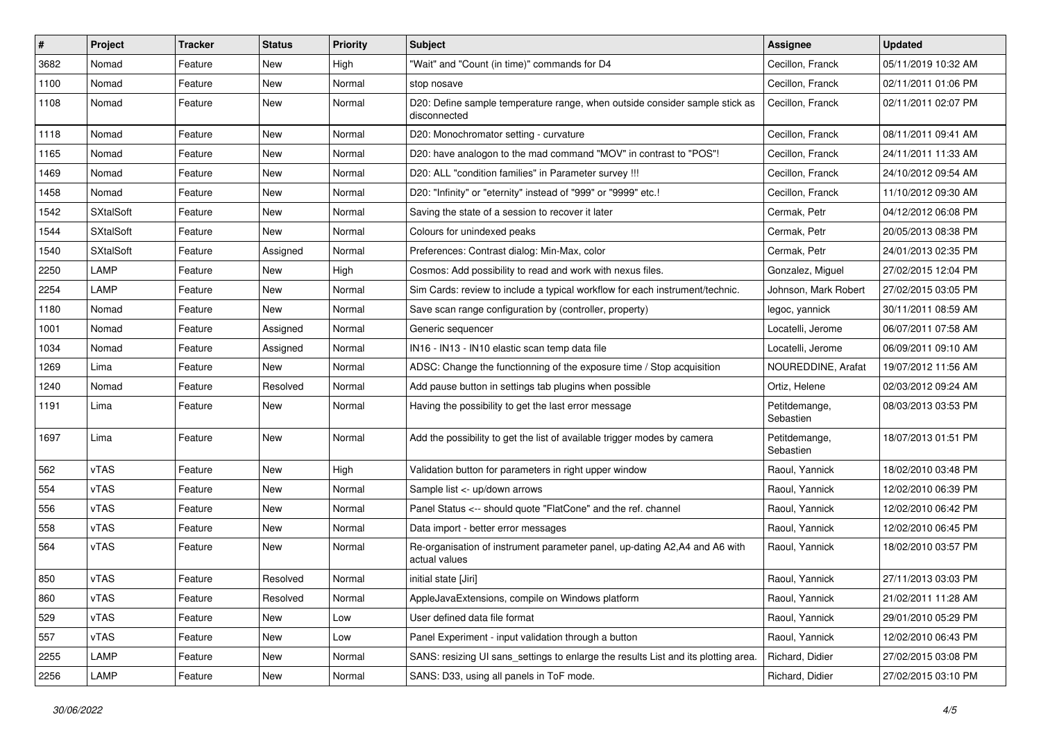| #    | Project          | <b>Tracker</b> | <b>Status</b> | <b>Priority</b> | <b>Subject</b>                                                                              | <b>Assignee</b>            | <b>Updated</b>      |
|------|------------------|----------------|---------------|-----------------|---------------------------------------------------------------------------------------------|----------------------------|---------------------|
| 3682 | Nomad            | Feature        | New           | High            | "Wait" and "Count (in time)" commands for D4                                                | Cecillon, Franck           | 05/11/2019 10:32 AM |
| 1100 | Nomad            | Feature        | New           | Normal          | stop nosave                                                                                 | Cecillon, Franck           | 02/11/2011 01:06 PM |
| 1108 | Nomad            | Feature        | New           | Normal          | D20: Define sample temperature range, when outside consider sample stick as<br>disconnected | Cecillon, Franck           | 02/11/2011 02:07 PM |
| 1118 | Nomad            | Feature        | New           | Normal          | D20: Monochromator setting - curvature                                                      | Cecillon, Franck           | 08/11/2011 09:41 AM |
| 1165 | Nomad            | Feature        | New           | Normal          | D20: have analogon to the mad command "MOV" in contrast to "POS"!                           | Cecillon, Franck           | 24/11/2011 11:33 AM |
| 1469 | Nomad            | Feature        | <b>New</b>    | Normal          | D20: ALL "condition families" in Parameter survey !!!                                       | Cecillon, Franck           | 24/10/2012 09:54 AM |
| 1458 | Nomad            | Feature        | New           | Normal          | D20: "Infinity" or "eternity" instead of "999" or "9999" etc.!                              | Cecillon, Franck           | 11/10/2012 09:30 AM |
| 1542 | <b>SXtalSoft</b> | Feature        | New           | Normal          | Saving the state of a session to recover it later                                           | Cermak, Petr               | 04/12/2012 06:08 PM |
| 1544 | <b>SXtalSoft</b> | Feature        | New           | Normal          | Colours for unindexed peaks                                                                 | Cermak, Petr               | 20/05/2013 08:38 PM |
| 1540 | <b>SXtalSoft</b> | Feature        | Assigned      | Normal          | Preferences: Contrast dialog: Min-Max, color                                                | Cermak, Petr               | 24/01/2013 02:35 PM |
| 2250 | LAMP             | Feature        | New           | High            | Cosmos: Add possibility to read and work with nexus files.                                  | Gonzalez, Miguel           | 27/02/2015 12:04 PM |
| 2254 | LAMP             | Feature        | New           | Normal          | Sim Cards: review to include a typical workflow for each instrument/technic.                | Johnson, Mark Robert       | 27/02/2015 03:05 PM |
| 1180 | Nomad            | Feature        | New           | Normal          | Save scan range configuration by (controller, property)                                     | legoc, yannick             | 30/11/2011 08:59 AM |
| 1001 | Nomad            | Feature        | Assigned      | Normal          | Generic sequencer                                                                           | Locatelli, Jerome          | 06/07/2011 07:58 AM |
| 1034 | Nomad            | Feature        | Assigned      | Normal          | IN16 - IN13 - IN10 elastic scan temp data file                                              | Locatelli, Jerome          | 06/09/2011 09:10 AM |
| 1269 | Lima             | Feature        | New           | Normal          | ADSC: Change the functionning of the exposure time / Stop acquisition                       | NOUREDDINE, Arafat         | 19/07/2012 11:56 AM |
| 1240 | Nomad            | Feature        | Resolved      | Normal          | Add pause button in settings tab plugins when possible                                      | Ortiz, Helene              | 02/03/2012 09:24 AM |
| 1191 | Lima             | Feature        | New           | Normal          | Having the possibility to get the last error message                                        | Petitdemange,<br>Sebastien | 08/03/2013 03:53 PM |
| 1697 | Lima             | Feature        | New           | Normal          | Add the possibility to get the list of available trigger modes by camera                    | Petitdemange,<br>Sebastien | 18/07/2013 01:51 PM |
| 562  | vTAS             | Feature        | <b>New</b>    | High            | Validation button for parameters in right upper window                                      | Raoul, Yannick             | 18/02/2010 03:48 PM |
| 554  | vTAS             | Feature        | New           | Normal          | Sample list <- up/down arrows                                                               | Raoul, Yannick             | 12/02/2010 06:39 PM |
| 556  | vTAS             | Feature        | New           | Normal          | Panel Status <-- should quote "FlatCone" and the ref. channel                               | Raoul, Yannick             | 12/02/2010 06:42 PM |
| 558  | vTAS             | Feature        | New           | Normal          | Data import - better error messages                                                         | Raoul, Yannick             | 12/02/2010 06:45 PM |
| 564  | vTAS             | Feature        | New           | Normal          | Re-organisation of instrument parameter panel, up-dating A2,A4 and A6 with<br>actual values | Raoul, Yannick             | 18/02/2010 03:57 PM |
| 850  | vTAS             | Feature        | Resolved      | Normal          | initial state [Jiri]                                                                        | Raoul, Yannick             | 27/11/2013 03:03 PM |
| 860  | vTAS             | Feature        | Resolved      | Normal          | AppleJavaExtensions, compile on Windows platform                                            | Raoul, Yannick             | 21/02/2011 11:28 AM |
| 529  | vTAS             | Feature        | New           | Low             | User defined data file format                                                               | Raoul, Yannick             | 29/01/2010 05:29 PM |
| 557  | vTAS             | Feature        | New           | Low             | Panel Experiment - input validation through a button                                        | Raoul, Yannick             | 12/02/2010 06:43 PM |
| 2255 | LAMP             | Feature        | New           | Normal          | SANS: resizing UI sans settings to enlarge the results List and its plotting area.          | Richard, Didier            | 27/02/2015 03:08 PM |
| 2256 | LAMP             | Feature        | New           | Normal          | SANS: D33, using all panels in ToF mode.                                                    | Richard, Didier            | 27/02/2015 03:10 PM |